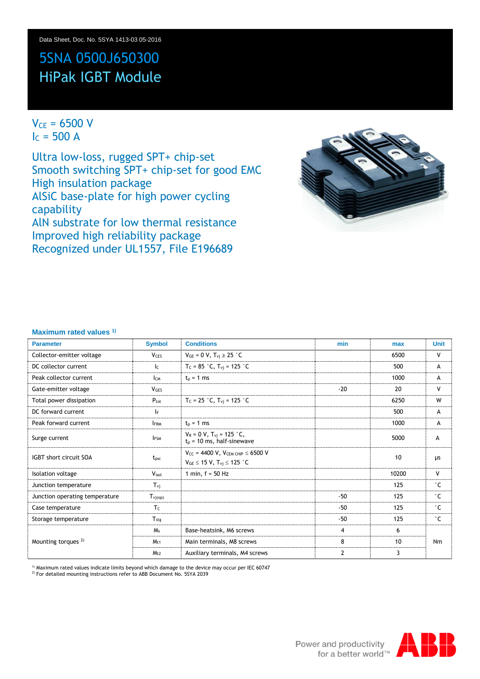# 5SNA 0500J650300 HiPak IGBT Module

## $V_{CE} = 6500 V$  $I_c = 500 A$

Ultra low-loss, rugged SPT+ chip-set Smooth switching SPT+ chip-set for good EMC High insulation package AlSiC base-plate for high power cycling capability AlN substrate for low thermal resistance Improved high reliability package Recognized under UL1557, File E196689



### **Maximum rated values 1)**

| <b>Parameter</b>               | <b>Symbol</b>           | <b>Conditions</b>                                                                     | min            | max   | <b>Unit</b>  |
|--------------------------------|-------------------------|---------------------------------------------------------------------------------------|----------------|-------|--------------|
| Collector-emitter voltage      | <b>V</b> <sub>CES</sub> | $V_{GE} = 0 V$ , $T_{vi} \ge 25$ °C                                                   |                | 6500  | V            |
| DC collector current           | Ic                      | $T_c = 85$ °C, $T_{vi} = 125$ °C                                                      |                | 500   | A            |
| Peak collector current         | Ісм                     | $tD = 1 ms$                                                                           |                | 1000  | А            |
| Gate-emitter voltage           | <b>VGES</b>             |                                                                                       | $-20$          | 20    | V            |
| Total power dissipation        | $P_{\text{tot}}$        | $T_c = 25$ °C, $T_{vi} = 125$ °C                                                      |                | 6250  | W            |
| DC forward current             | lF.                     |                                                                                       |                | 500   | A            |
| Peak forward current           | <b>IFRM</b>             | $tD = 1 ms$                                                                           |                | 1000  | A            |
| Surge current                  | <b>IFSM</b>             | $V_R = 0 V$ , $T_{vi} = 125 °C$ ,<br>$t_p$ = 10 ms, half-sinewave                     |                | 5000  | A            |
| <b>IGBT</b> short circuit SOA  | $t_{\text{psc}}$        | $V_{CC}$ = 4400 V, VCEM CHIP $\leq$ 6500 V<br>$V_{GE} \le 15 V$ , $T_{vi} \le 125 °C$ |                | 10    | μs           |
| Isolation voltage              | $V_{\text{isol}}$       | 1 min, $f = 50$ Hz                                                                    |                | 10200 | V            |
| Junction temperature           | $T_{vi}$                |                                                                                       |                | 125   | $^{\circ}$ C |
| Junction operating temperature | $T_{\rm vj(op)}$        |                                                                                       | $-50$          | 125   | $^{\circ}$ C |
| Case temperature               | $T_c$                   |                                                                                       | $-50$          | 125   | $^{\circ}$ C |
| Storage temperature            | $T_{\rm stg}$           |                                                                                       | $-50$          | 125   | $^{\circ}$ C |
|                                | M <sub>s</sub>          | Base-heatsink, M6 screws                                                              | 4              | 6     |              |
| Mounting torques <sup>2)</sup> | $M_{t1}$                | Main terminals, M8 screws                                                             | 8              | 10    | Nm           |
|                                | M <sub>t2</sub>         | Auxiliary terminals, M4 screws                                                        | $\overline{2}$ | 3     |              |

<sup>1)</sup> Maximum rated values indicate limits beyond which damage to the device may occur per IEC 60747

2) For detailed mounting instructions refer to ABB Document No. 5SYA 2039

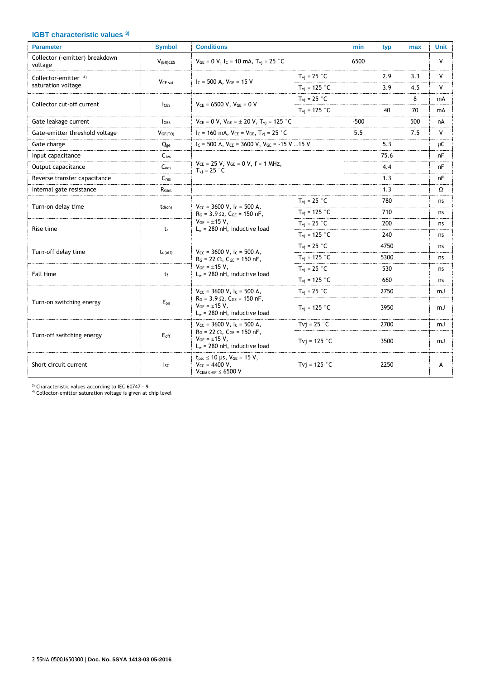### **IGBT characteristic values 3)**

| <b>Parameter</b>                          | <b>Symbol</b>        | <b>Conditions</b>                                                                                                                                                |                                 | min    | typ  | max | <b>Unit</b>  |
|-------------------------------------------|----------------------|------------------------------------------------------------------------------------------------------------------------------------------------------------------|---------------------------------|--------|------|-----|--------------|
| Collector (-emitter) breakdown<br>voltage | V <sub>(BR)CES</sub> | $V_{GE} = 0 V$ , $I_C = 10$ mA, $T_{vi} = 25$ °C                                                                                                                 |                                 | 6500   |      |     | $\mathsf{V}$ |
| Collector-emitter <sup>4)</sup>           | V <sub>CE</sub> sat  | $I_c = 500$ A, $V_{GE} = 15$ V                                                                                                                                   | $T_{\rm vi}$ = 25 $\degree$ C   |        | 2.9  | 3.3 | V            |
| saturation voltage                        |                      |                                                                                                                                                                  | $T_{\rm vi}$ = 125 $\degree$ C  |        | 3.9  | 4.5 | V            |
| Collector cut-off current                 | <b>ICES</b>          | $V_{CE}$ = 6500 V, $V_{GE}$ = 0 V                                                                                                                                | $T_{\rm{vi}}$ = 25 $^{\circ}$ C |        |      | 8   | mA           |
|                                           |                      |                                                                                                                                                                  | $T_{\rm vi}$ = 125 $\degree$ C  |        | 40   | 70  | mA           |
| Gate leakage current                      | lges                 | $V_{CE} = 0 V$ , $V_{GE} = \pm 20 V$ , $T_{vi} = 125 °C$                                                                                                         |                                 | $-500$ |      | 500 | nA           |
| Gate-emitter threshold voltage            | VGE(TO)              | $I_C = 160$ mA, $V_{CE} = V_{GE}$ , $T_{vi} = 25$ °C                                                                                                             |                                 | 5.5    |      | 7.5 | V            |
| Gate charge                               | Qge                  | $I_c = 500$ A, $V_{CE} = 3600$ V, $V_{GE} = -15$ V 15 V                                                                                                          |                                 |        | 5.3  |     | μC           |
| Input capacitance                         | $C_{\text{ies}}$     |                                                                                                                                                                  |                                 |        | 75.6 |     | nF           |
| Output capacitance                        | C <sub>oes</sub>     | $V_{CE}$ = 25 V, $V_{GE}$ = 0 V, f = 1 MHz,<br>$T_{\rm vi}$ = 25 $^{\circ}$ C                                                                                    |                                 |        | 4.4  |     | nF           |
| Reverse transfer capacitance              | $C_{res}$            |                                                                                                                                                                  |                                 |        | 1.3  |     | nF           |
| Internal gate resistance                  | R <sub>Gint</sub>    |                                                                                                                                                                  |                                 |        | 1.3  |     | Ω            |
| Turn-on delay time                        | $t_{d(on)}$          | $V_{CC}$ = 3600 V, I <sub>C</sub> = 500 A,<br>$R_G = 3.9 \Omega$ , $C_{GE} = 150 \text{ nF}$ ,<br>$V_{GE} = \pm 15 V$ ,<br>$L_{\sigma}$ = 280 nH, inductive load | $T_{\rm{vi}}$ = 25 $^{\circ}$ C |        | 780  |     | ns           |
|                                           |                      |                                                                                                                                                                  | $T_{\rm{vi}} = 125$ °C          |        | 710  |     | ns           |
| Rise time                                 | tr                   |                                                                                                                                                                  | $T_{\rm{vj}}$ = 25 $\degree$ C  |        | 200  |     | ns           |
|                                           |                      |                                                                                                                                                                  | $T_{\rm vi}$ = 125 °C           |        | 240  |     | ns           |
| Turn-off delay time                       |                      | $V_{CC}$ = 3600 V, I <sub>C</sub> = 500 A,                                                                                                                       | $T_{\rm vi}$ = 25 °C            |        | 4750 |     | ns           |
|                                           | $t_{d(off)}$         | $R_G = 22 \Omega$ , $C_{GE} = 150$ nF,                                                                                                                           | $T_{\rm{vi}} = 125$ °C          |        | 5300 |     | ns           |
| Fall time                                 | $t_{\rm f}$          | $V_{GE} = \pm 15 V$ ,<br>$L_{\sigma}$ = 280 nH, inductive load                                                                                                   | $T_{\rm vi}$ = 25 $\degree$ C   |        | 530  |     | ns           |
|                                           |                      |                                                                                                                                                                  | $T_{\rm vi}$ = 125 °C           |        | 660  |     | ns           |
|                                           |                      | $V_{CC}$ = 3600 V, I <sub>C</sub> = 500 A,                                                                                                                       | $T_{\rm{vi}}$ = 25 $^{\circ}$ C |        | 2750 |     | mJ           |
| Turn-on switching energy                  | Eon                  | $R_G = 3.9 \Omega$ , $C_{GE} = 150 \text{ nF}$ ,<br>$V_{GE} = \pm 15 V$ ,<br>$L_{\sigma}$ = 280 nH, inductive load                                               | $T_{\rm vi}$ = 125 °C           |        | 3950 |     | mJ           |
|                                           |                      | $V_{CC}$ = 3600 V, $I_C$ = 500 A,                                                                                                                                | Tvi = $25 °C$                   |        | 2700 |     | mJ           |
| Turn-off switching energy                 | $E_{\rm off}$        | $R_G = 22 \Omega$ , $C_{GE} = 150 \text{ nF}$ ,<br>$V_{GE} = \pm 15 V$ ,<br>$L_{\sigma}$ = 280 nH, inductive load                                                | Tvj = $125$ °C                  |        | 3500 |     | mJ           |
| Short circuit current                     | <b>I</b> sc          | $t_{psc} \le 10 \text{ }\mu\text{s}, \text{ } V_{GE} = 15 \text{ V},$<br>$V_{CC} = 4400 V$ ,<br>$VCEM CHIP \leq 6500 V$                                          | Tvi = $125$ °C                  |        | 2250 |     | А            |

<sup>3)</sup> Characteristic values according to IEC 60747 - 9<br><sup>4)</sup> Collector-emitter saturation voltage is given at chip level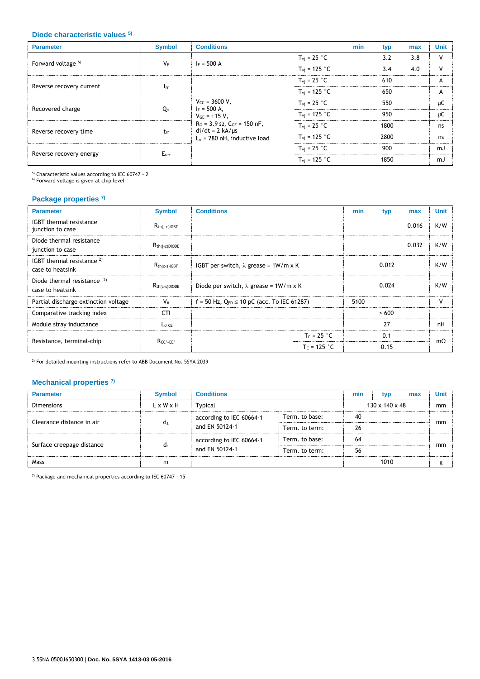#### **Diode characteristic values 5)**

| <b>Parameter</b>              | <b>Symbol</b> | <b>Conditions</b>                                                                                                                                                                     |                                 | min | typ  | max | <b>Unit</b> |
|-------------------------------|---------------|---------------------------------------------------------------------------------------------------------------------------------------------------------------------------------------|---------------------------------|-----|------|-----|-------------|
| Forward voltage <sup>6)</sup> | $V_F$         | $I_F = 500 A$                                                                                                                                                                         | $T_{\rm{vi}}$ = 25 $^{\circ}$ C |     | 3.2  | 3.8 | v           |
|                               |               |                                                                                                                                                                                       | $T_{\rm vi}$ = 125 °C           |     | 3.4  | 4.0 | v           |
| Reverse recovery current      | $I_{rr}$      | $V_{CC} = 3600 V$ ,<br>$I_F = 500 A$ ,<br>$V_{GE} = \pm 15 V$ ,<br>$R_G = 3.9 \Omega$ , $C_{GE} = 150 \text{ nF}$ ,<br>$di/dt = 2 kA/ \mu s$<br>$L_{\alpha}$ = 280 nH, inductive load | $T_{\rm vj}$ = 25 °C            |     | 610  |     | A           |
|                               |               |                                                                                                                                                                                       | $T_{\rm{vj}} = 125$ °C          |     | 650  |     | A           |
| Recovered charge              |               |                                                                                                                                                                                       | $T_{\rm vj} = 25$ °C            |     | 550  |     | μC          |
|                               | $Q_{rr}$      |                                                                                                                                                                                       | $T_{\rm vj}$ = 125 $^{\circ}$ C |     | 950  |     | μC          |
|                               | $t_{rr}$      |                                                                                                                                                                                       | $T_{\rm vj}$ = 25 $^{\circ}$ C  |     | 1800 |     | ns          |
| Reverse recovery time         |               |                                                                                                                                                                                       | $T_{\rm{vj}}$ = 125 °C          |     | 2800 |     | ns          |
| Reverse recovery energy       | $E_{rec}$     |                                                                                                                                                                                       | $T_{\rm vi}$ = 25 $^{\circ}$ C  |     | 900  |     | mJ          |
|                               |               |                                                                                                                                                                                       | $T_{\rm vi}$ = 125 °C           |     | 1850 |     | mJ          |

<sup>5)</sup> Characteristic values according to IEC 60747 - 2<br><sup>6)</sup> Forward voltage is given at chip level

### **Package properties 7)**

| <b>Parameter</b>                                    | <b>Symbol</b>      | <b>Conditions</b>                                 | min  | typ   | max   | <b>Unit</b> |
|-----------------------------------------------------|--------------------|---------------------------------------------------|------|-------|-------|-------------|
| <b>IGBT</b> thermal resistance<br>junction to case  | $R_{th(i-c)IGBT}$  |                                                   |      |       | 0.016 | K/W         |
| Diode thermal resistance<br>junction to case        | $R_{th(i-c)DIODE}$ |                                                   |      |       | 0.032 | K/W         |
| IGBT thermal resistance $^{2)}$<br>case to heatsink | $R_{th(c-s)IGBT}$  | IGBT per switch, $\lambda$ grease = 1W/m x K      |      | 0.012 |       | K/W         |
| Diode thermal resistance $2$<br>case to heatsink    | $R_{th(c-s)DIODE}$ | Diode per switch, $\lambda$ grease = 1W/m x K     |      | 0.024 |       | K/W         |
| Partial discharge extinction voltage                | $V_{\rm e}$        | f = 50 Hz, $Q_{PD} \le 10$ pC (acc. To IEC 61287) | 5100 |       |       | v           |
| Comparative tracking index                          | <b>CTI</b>         |                                                   |      | >600  |       |             |
| Module stray inductance                             | $L_{\sigma}$ ce    |                                                   |      | 27    |       | nH          |
|                                                     | $Rcc$ + $EF$       | $T_c = 25 °C$                                     |      | 0.1   |       | $m\Omega$   |
| Resistance, terminal-chip                           |                    | $T_c = 125 °C$                                    |      | 0.15  |       |             |

 $^{2)}$  For detailed mounting instructions refer to ABB Document No. 5SYA 2039

### **Mechanical properties 7)**

| <b>Parameter</b>          | <b>Symbol</b>         | <b>Conditions</b>                          |                | min            | typ  | max | <b>Unit</b> |
|---------------------------|-----------------------|--------------------------------------------|----------------|----------------|------|-----|-------------|
| <b>Dimensions</b>         | $L \times W \times H$ | Typical                                    |                | 130 x 140 x 48 |      |     | mm          |
| Clearance distance in air | $d_a$                 | according to IEC 60664-1<br>and EN 50124-1 | Term. to base: | 40             |      |     |             |
|                           |                       |                                            | Term. to term: | 26             |      |     | mm          |
| Surface creepage distance | ds                    | according to IEC 60664-1<br>and EN 50124-1 | Term. to base: | 64             |      |     |             |
|                           |                       |                                            | Term, to term: | 56             |      |     | mm          |
| <b>Mass</b>               | m                     |                                            |                |                | 1010 |     | g           |

 $7)$  Package and mechanical properties according to IEC 60747 - 15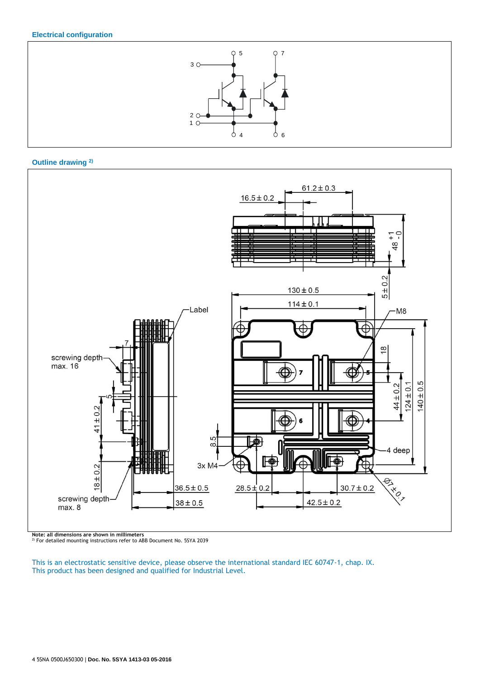### **Electrical configuration**



### **Outline drawing 2)**



**Note: all dimensions are shown in millimeters** 2) For detailed mounting instructions refer to ABB Document No. 5SYA 2039

This is an electrostatic sensitive device, please observe the international standard IEC 60747-1, chap. IX. This product has been designed and qualified for Industrial Level.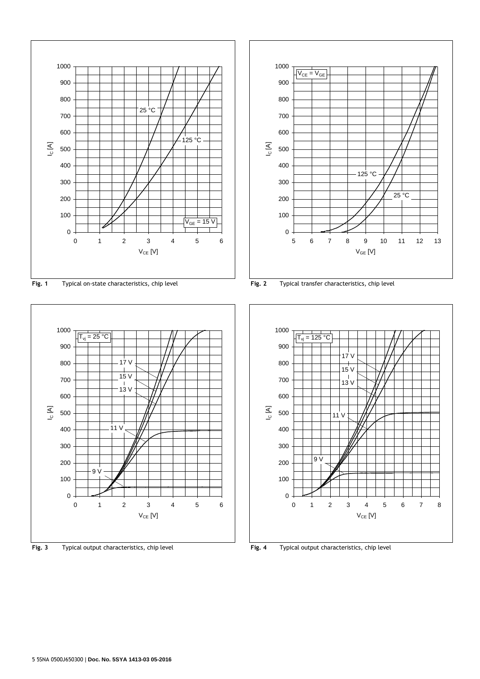

**Fig. 1** Typical on-state characteristics, chip level **Fig. 2** Typical transfer characteristics, chip level



**Fig. 3** Typical output characteristics, chip level **Fig. 4** Typical output characteristics, chip level



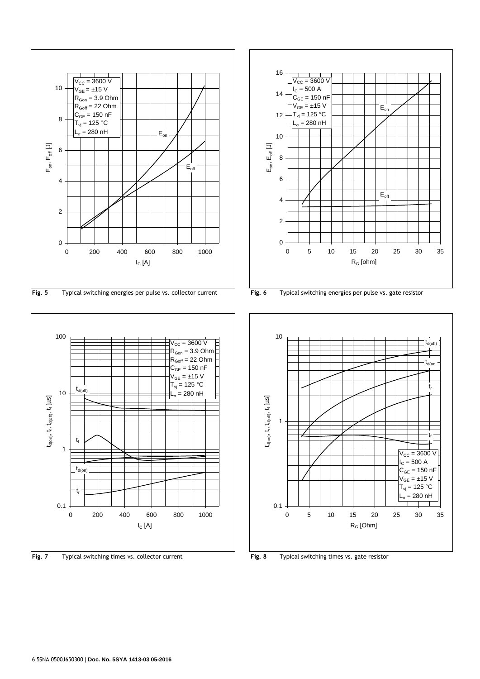

**Fig. 5** Typical switching energies per pulse vs. collector current **Fig. 6** Typical switching energies per pulse vs. gate resistor



**Fig. 7** Typical switching times vs. collector current **Fig. 8** Typical switching times vs. gate resistor



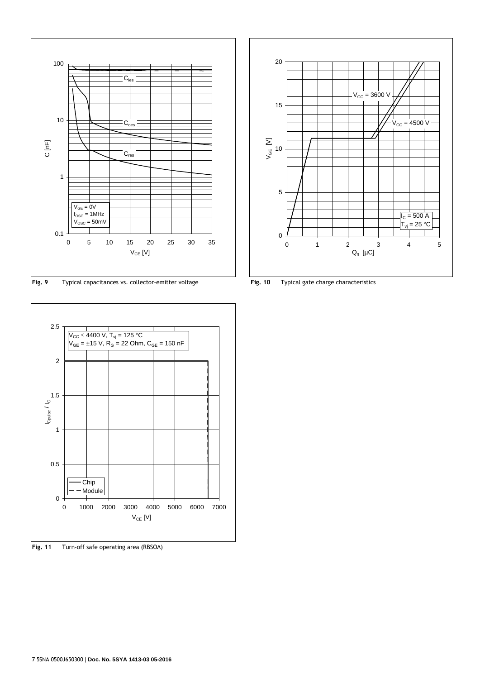

**Fig. 9** Typical capacitances vs. collector-emitter voltage **Fig. 10** Typical gate charge characteristics



**Fig. 11** Turn-off safe operating area (RBSOA)

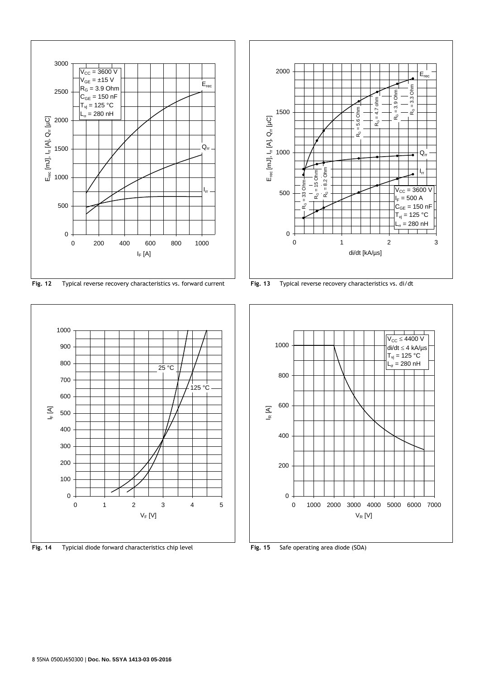

**Fig. 12** Typical reverse recovery characteristics vs. forward current **Fig. 13** Typical reverse recovery characteristics vs. di/dt



**Fig. 14** Typicial diode forward characteristics chip level **Fig. 15** Safe operating area diode (SOA)